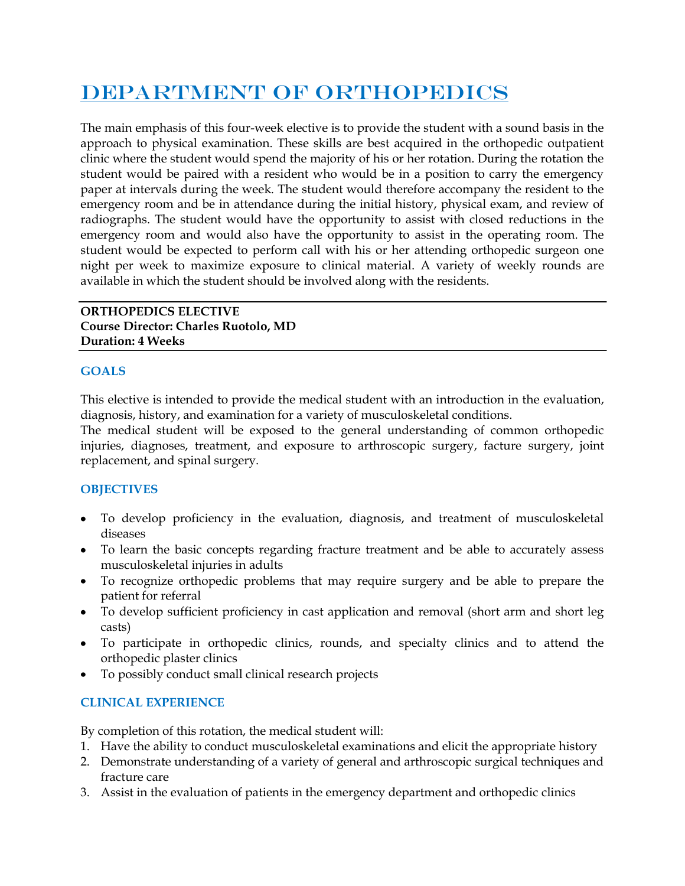# DEPARTMENT OF ORTHOPEDICS

The main emphasis of this four-week elective is to provide the student with a sound basis in the approach to physical examination. These skills are best acquired in the orthopedic outpatient clinic where the student would spend the majority of his or her rotation. During the rotation the student would be paired with a resident who would be in a position to carry the emergency paper at intervals during the week. The student would therefore accompany the resident to the emergency room and be in attendance during the initial history, physical exam, and review of radiographs. The student would have the opportunity to assist with closed reductions in the emergency room and would also have the opportunity to assist in the operating room. The student would be expected to perform call with his or her attending orthopedic surgeon one night per week to maximize exposure to clinical material. A variety of weekly rounds are available in which the student should be involved along with the residents.

### **ORTHOPEDICS ELECTIVE Course Director: Charles Ruotolo, MD Duration: 4 Weeks**

## **GOALS**

This elective is intended to provide the medical student with an introduction in the evaluation, diagnosis, history, and examination for a variety of musculoskeletal conditions.

The medical student will be exposed to the general understanding of common orthopedic injuries, diagnoses, treatment, and exposure to arthroscopic surgery, facture surgery, joint replacement, and spinal surgery.

## **OBJECTIVES**

- To develop proficiency in the evaluation, diagnosis, and treatment of musculoskeletal diseases
- To learn the basic concepts regarding fracture treatment and be able to accurately assess musculoskeletal injuries in adults
- To recognize orthopedic problems that may require surgery and be able to prepare the patient for referral
- To develop sufficient proficiency in cast application and removal (short arm and short leg casts)
- To participate in orthopedic clinics, rounds, and specialty clinics and to attend the orthopedic plaster clinics
- To possibly conduct small clinical research projects

## **CLINICAL EXPERIENCE**

By completion of this rotation, the medical student will:

- 1. Have the ability to conduct musculoskeletal examinations and elicit the appropriate history
- 2. Demonstrate understanding of a variety of general and arthroscopic surgical techniques and fracture care
- 3. Assist in the evaluation of patients in the emergency department and orthopedic clinics